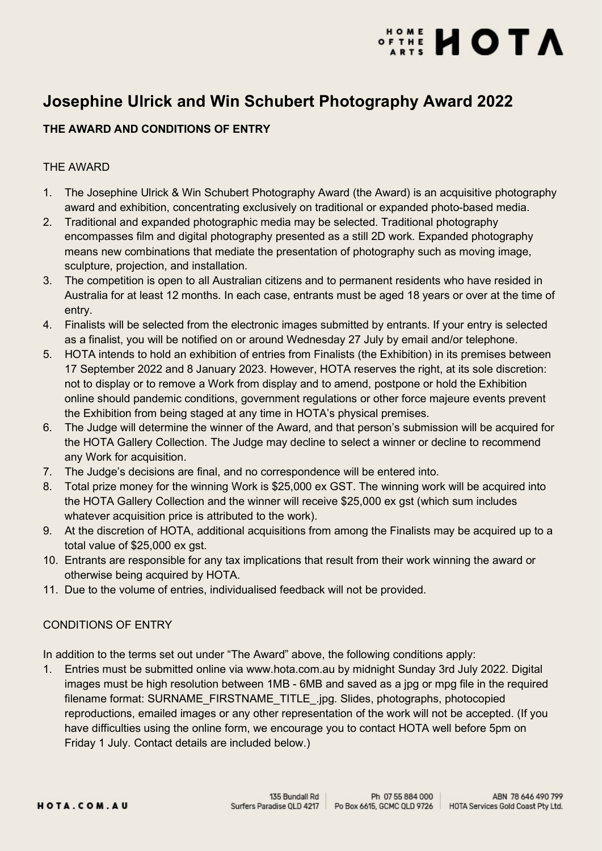# **ATONE HOTA**

### Josephine Ulrick and Win Schubert Photography Award 2022

### THE AWARD AND CONDITIONS OF ENTRY

#### THE AWARD

- 1. The Josephine Ulrick & Win Schubert Photography Award (the Award) is an acquisitive photography award and exhibition, concentrating exclusively on traditional or expanded photo-based media.
- 2. Traditional and expanded photographic media may be selected. Traditional photography encompasses film and digital photography presented as a still 2D work. Expanded photography means new combinations that mediate the presentation of photography such as moving image, sculpture, projection, and installation.
- 3. The competition is open to all Australian citizens and to permanent residents who have resided in Australia for at least 12 months. In each case, entrants must be aged 18 years or over at the time of entry.
- 4. Finalists will be selected from the electronic images submitted by entrants. If your entry is selected as a finalist, you will be notified on or around Wednesday 27 July by email and/or telephone.
- 5. HOTA intends to hold an exhibition of entries from Finalists (the Exhibition) in its premises between 17 September 2022 and 8 January 2023. However, HOTA reserves the right, at its sole discretion: not to display or to remove a Work from display and to amend, postpone or hold the Exhibition online should pandemic conditions, government regulations or other force majeure events prevent the Exhibition from being staged at any time in HOTA's physical premises.
- 6. The Judge will determine the winner of the Award, and that person's submission will be acquired for the HOTA Gallery Collection. The Judge may decline to select a winner or decline to recommend any Work for acquisition.
- 7. The Judge's decisions are final, and no correspondence will be entered into.
- 8. Total prize money for the winning Work is \$25,000 ex GST. The winning work will be acquired into the HOTA Gallery Collection and the winner will receive \$25,000 ex gst (which sum includes whatever acquisition price is attributed to the work).
- 9. At the discretion of HOTA, additional acquisitions from among the Finalists may be acquired up to a total value of \$25,000 ex gst.
- 10. Entrants are responsible for any tax implications that result from their work winning the award or otherwise being acquired by HOTA.
- 11. Due to the volume of entries, individualised feedback will not be provided.

### CONDITIONS OF ENTRY

In addition to the terms set out under "The Award" above, the following conditions apply:

1. Entries must be submitted online via www.hota.com.au by midnight Sunday 3rd July 2022. Digital images must be high resolution between 1MB - 6MB and saved as a jpg or mpg file in the required filename format: SURNAME\_FIRSTNAME\_TITLE\_.jpg. Slides, photographs, photocopied reproductions, emailed images or any other representation of the work will not be accepted. (If you have difficulties using the online form, we encourage you to contact HOTA well before 5pm on Friday 1 July. Contact details are included below.)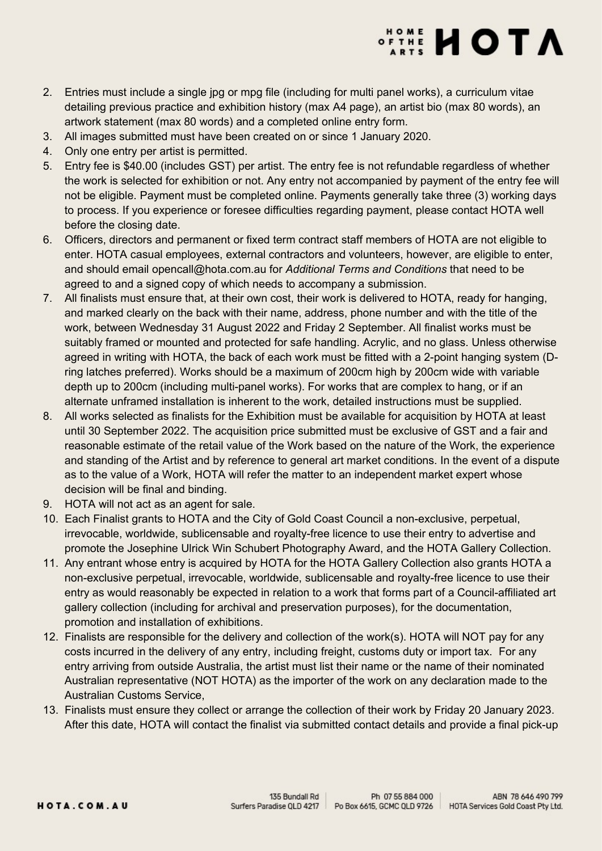# **ATONE HOLD**

- 2. Entries must include a single jpg or mpg file (including for multi panel works), a curriculum vitae detailing previous practice and exhibition history (max A4 page), an artist bio (max 80 words), an artwork statement (max 80 words) and a completed online entry form.
- 3. All images submitted must have been created on or since 1 January 2020.
- 4. Only one entry per artist is permitted.
- 5. Entry fee is \$40.00 (includes GST) per artist. The entry fee is not refundable regardless of whether the work is selected for exhibition or not. Any entry not accompanied by payment of the entry fee will not be eligible. Payment must be completed online. Payments generally take three (3) working days to process. If you experience or foresee difficulties regarding payment, please contact HOTA well before the closing date.
- 6. Officers, directors and permanent or fixed term contract staff members of HOTA are not eligible to enter. HOTA casual employees, external contractors and volunteers, however, are eligible to enter, and should email opencall@hota.com.au for [Additional Terms and Conditions](https://hota.com.au/uploads/2022-JUWSPA-HOTA-Staff-additional-terms-and-conditions-1.0-FINAL.pdf) that need to be agreed to and a signed copy of which needs to accompany a submission.
- 7. All finalists must ensure that, at their own cost, their work is delivered to HOTA, ready for hanging, and marked clearly on the back with their name, address, phone number and with the title of the work, between Wednesday 31 August 2022 and Friday 2 September. All finalist works must be suitably framed or mounted and protected for safe handling. Acrylic, and no glass. Unless otherwise agreed in writing with HOTA, the back of each work must be fitted with a 2-point hanging system (Dring latches preferred). Works should be a maximum of 200cm high by 200cm wide with variable depth up to 200cm (including multi-panel works). For works that are complex to hang, or if an alternate unframed installation is inherent to the work, detailed instructions must be supplied.
- 8. All works selected as finalists for the Exhibition must be available for acquisition by HOTA at least until 30 September 2022. The acquisition price submitted must be exclusive of GST and a fair and reasonable estimate of the retail value of the Work based on the nature of the Work, the experience and standing of the Artist and by reference to general art market conditions. In the event of a dispute as to the value of a Work, HOTA will refer the matter to an independent market expert whose decision will be final and binding.
- 9. HOTA will not act as an agent for sale.
- 10. Each Finalist grants to HOTA and the City of Gold Coast Council a non-exclusive, perpetual, irrevocable, worldwide, sublicensable and royalty-free licence to use their entry to advertise and promote the Josephine Ulrick Win Schubert Photography Award, and the HOTA Gallery Collection.
- 11. Any entrant whose entry is acquired by HOTA for the HOTA Gallery Collection also grants HOTA a non-exclusive perpetual, irrevocable, worldwide, sublicensable and royalty-free licence to use their entry as would reasonably be expected in relation to a work that forms part of a Council-affiliated art gallery collection (including for archival and preservation purposes), for the documentation, promotion and installation of exhibitions.
- 12. Finalists are responsible for the delivery and collection of the work(s). HOTA will NOT pay for any costs incurred in the delivery of any entry, including freight, customs duty or import tax. For any entry arriving from outside Australia, the artist must list their name or the name of their nominated Australian representative (NOT HOTA) as the importer of the work on any declaration made to the Australian Customs Service,
- 13. Finalists must ensure they collect or arrange the collection of their work by Friday 20 January 2023. After this date, HOTA will contact the finalist via submitted contact details and provide a final pick-up